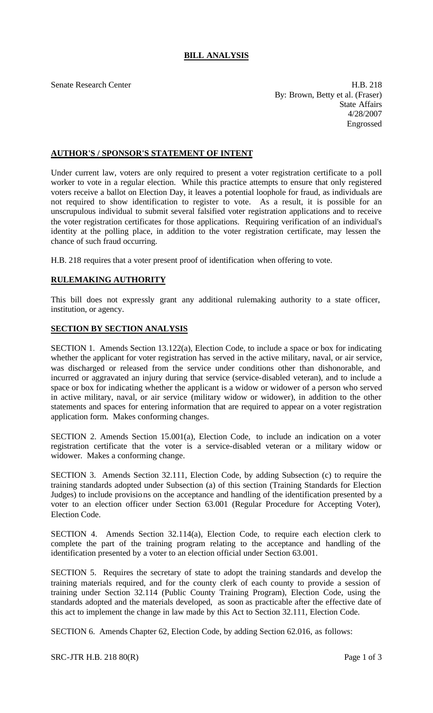## **BILL ANALYSIS**

Senate Research Center **H.B. 218** By: Brown, Betty et al. (Fraser) State Affairs 4/28/2007 Engrossed

## **AUTHOR'S / SPONSOR'S STATEMENT OF INTENT**

Under current law, voters are only required to present a voter registration certificate to a poll worker to vote in a regular election. While this practice attempts to ensure that only registered voters receive a ballot on Election Day, it leaves a potential loophole for fraud, as individuals are not required to show identification to register to vote. As a result, it is possible for an unscrupulous individual to submit several falsified voter registration applications and to receive the voter registration certificates for those applications. Requiring verification of an individual's identity at the polling place, in addition to the voter registration certificate, may lessen the chance of such fraud occurring.

H.B. 218 requires that a voter present proof of identification when offering to vote.

## **RULEMAKING AUTHORITY**

This bill does not expressly grant any additional rulemaking authority to a state officer, institution, or agency.

## **SECTION BY SECTION ANALYSIS**

SECTION 1. Amends Section 13.122(a), Election Code, to include a space or box for indicating whether the applicant for voter registration has served in the active military, naval, or air service, was discharged or released from the service under conditions other than dishonorable, and incurred or aggravated an injury during that service (service-disabled veteran), and to include a space or box for indicating whether the applicant is a widow or widower of a person who served in active military, naval, or air service (military widow or widower), in addition to the other statements and spaces for entering information that are required to appear on a voter registration application form. Makes conforming changes.

SECTION 2. Amends Section 15.001(a), Election Code, to include an indication on a voter registration certificate that the voter is a service-disabled veteran or a military widow or widower. Makes a conforming change.

SECTION 3. Amends Section 32.111, Election Code, by adding Subsection (c) to require the training standards adopted under Subsection (a) of this section (Training Standards for Election Judges) to include provisions on the acceptance and handling of the identification presented by a voter to an election officer under Section 63.001 (Regular Procedure for Accepting Voter), Election Code.

SECTION 4. Amends Section 32.114(a), Election Code, to require each election clerk to complete the part of the training program relating to the acceptance and handling of the identification presented by a voter to an election official under Section 63.001.

SECTION 5. Requires the secretary of state to adopt the training standards and develop the training materials required, and for the county clerk of each county to provide a session of training under Section 32.114 (Public County Training Program), Election Code, using the standards adopted and the materials developed, as soon as practicable after the effective date of this act to implement the change in law made by this Act to Section 32.111, Election Code.

SECTION 6. Amends Chapter 62, Election Code, by adding Section 62.016, as follows:

SRC-JTR H.B.  $218\,80(R)$  Page 1 of 3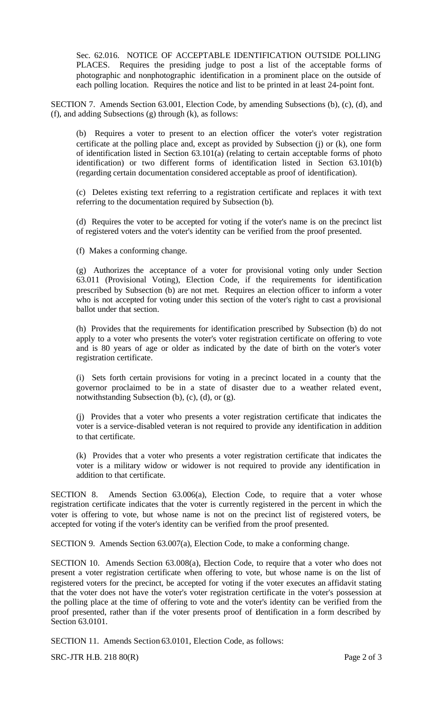Sec. 62.016. NOTICE OF ACCEPTABLE IDENTIFICATION OUTSIDE POLLING PLACES. Requires the presiding judge to post a list of the acceptable forms of photographic and nonphotographic identification in a prominent place on the outside of each polling location. Requires the notice and list to be printed in at least 24-point font.

SECTION 7. Amends Section 63.001, Election Code, by amending Subsections (b), (c), (d), and (f), and adding Subsections (g) through (k), as follows:

(b) Requires a voter to present to an election officer the voter's voter registration certificate at the polling place and, except as provided by Subsection (j) or (k), one form of identification listed in Section 63.101(a) (relating to certain acceptable forms of photo identification) or two different forms of identification listed in Section 63.101(b) (regarding certain documentation considered acceptable as proof of identification).

(c) Deletes existing text referring to a registration certificate and replaces it with text referring to the documentation required by Subsection (b).

(d) Requires the voter to be accepted for voting if the voter's name is on the precinct list of registered voters and the voter's identity can be verified from the proof presented.

(f) Makes a conforming change.

(g) Authorizes the acceptance of a voter for provisional voting only under Section  $\overrightarrow{63.011}$  (Provisional Voting), Election Code, if the requirements for identification prescribed by Subsection (b) are not met. Requires an election officer to inform a voter who is not accepted for voting under this section of the voter's right to cast a provisional ballot under that section.

(h) Provides that the requirements for identification prescribed by Subsection (b) do not apply to a voter who presents the voter's voter registration certificate on offering to vote and is 80 years of age or older as indicated by the date of birth on the voter's voter registration certificate.

(i) Sets forth certain provisions for voting in a precinct located in a county that the governor proclaimed to be in a state of disaster due to a weather related event, notwithstanding Subsection (b), (c), (d), or (g).

(j) Provides that a voter who presents a voter registration certificate that indicates the voter is a service-disabled veteran is not required to provide any identification in addition to that certificate.

(k) Provides that a voter who presents a voter registration certificate that indicates the voter is a military widow or widower is not required to provide any identification in addition to that certificate.

SECTION 8. Amends Section 63.006(a), Election Code, to require that a voter whose registration certificate indicates that the voter is currently registered in the percent in which the voter is offering to vote, but whose name is not on the precinct list of registered voters, be accepted for voting if the voter's identity can be verified from the proof presented.

SECTION 9. Amends Section 63.007(a), Election Code, to make a conforming change.

SECTION 10. Amends Section 63.008(a), Election Code, to require that a voter who does not present a voter registration certificate when offering to vote, but whose name is on the list of registered voters for the precinct, be accepted for voting if the voter executes an affidavit stating that the voter does not have the voter's voter registration certificate in the voter's possession at the polling place at the time of offering to vote and the voter's identity can be verified from the proof presented, rather than if the voter presents proof of identification in a form described by Section 63.0101.

SECTION 11. Amends Section 63.0101, Election Code, as follows:

SRC-JTR H.B. 218 80(R) Page 2 of 3